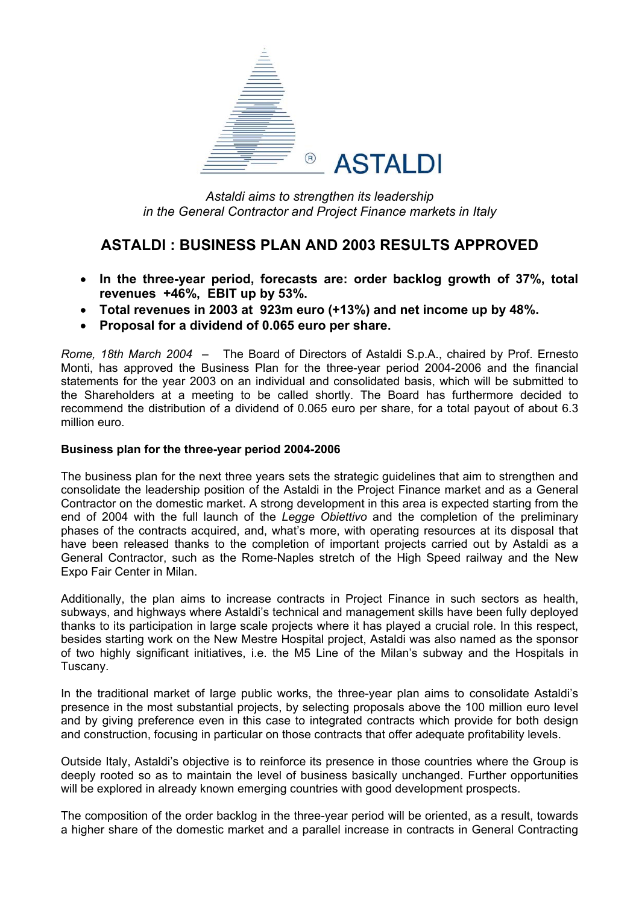

*Astaldi aims to strengthen its leadership in the General Contractor and Project Finance markets in Italy* 

# **ASTALDI : BUSINESS PLAN AND 2003 RESULTS APPROVED**

- **In the three-year period, forecasts are: order backlog growth of 37%, total revenues +46%, EBIT up by 53%.**
- **Total revenues in 2003 at 923m euro (+13%) and net income up by 48%.**
- **Proposal for a dividend of 0.065 euro per share.**

*Rome, 18th March 2004* – The Board of Directors of Astaldi S.p.A., chaired by Prof. Ernesto Monti, has approved the Business Plan for the three-year period 2004-2006 and the financial statements for the year 2003 on an individual and consolidated basis, which will be submitted to the Shareholders at a meeting to be called shortly. The Board has furthermore decided to recommend the distribution of a dividend of 0.065 euro per share, for a total payout of about 6.3 million euro.

#### **Business plan for the three-year period 2004-2006**

The business plan for the next three years sets the strategic guidelines that aim to strengthen and consolidate the leadership position of the Astaldi in the Project Finance market and as a General Contractor on the domestic market. A strong development in this area is expected starting from the end of 2004 with the full launch of the *Legge Obiettivo* and the completion of the preliminary phases of the contracts acquired, and, what's more, with operating resources at its disposal that have been released thanks to the completion of important projects carried out by Astaldi as a General Contractor, such as the Rome-Naples stretch of the High Speed railway and the New Expo Fair Center in Milan.

Additionally, the plan aims to increase contracts in Project Finance in such sectors as health, subways, and highways where Astaldi's technical and management skills have been fully deployed thanks to its participation in large scale projects where it has played a crucial role. In this respect, besides starting work on the New Mestre Hospital project, Astaldi was also named as the sponsor of two highly significant initiatives, i.e. the M5 Line of the Milan's subway and the Hospitals in Tuscany.

In the traditional market of large public works, the three-year plan aims to consolidate Astaldi's presence in the most substantial projects, by selecting proposals above the 100 million euro level and by giving preference even in this case to integrated contracts which provide for both design and construction, focusing in particular on those contracts that offer adequate profitability levels.

Outside Italy, Astaldi's objective is to reinforce its presence in those countries where the Group is deeply rooted so as to maintain the level of business basically unchanged. Further opportunities will be explored in already known emerging countries with good development prospects.

The composition of the order backlog in the three-year period will be oriented, as a result, towards a higher share of the domestic market and a parallel increase in contracts in General Contracting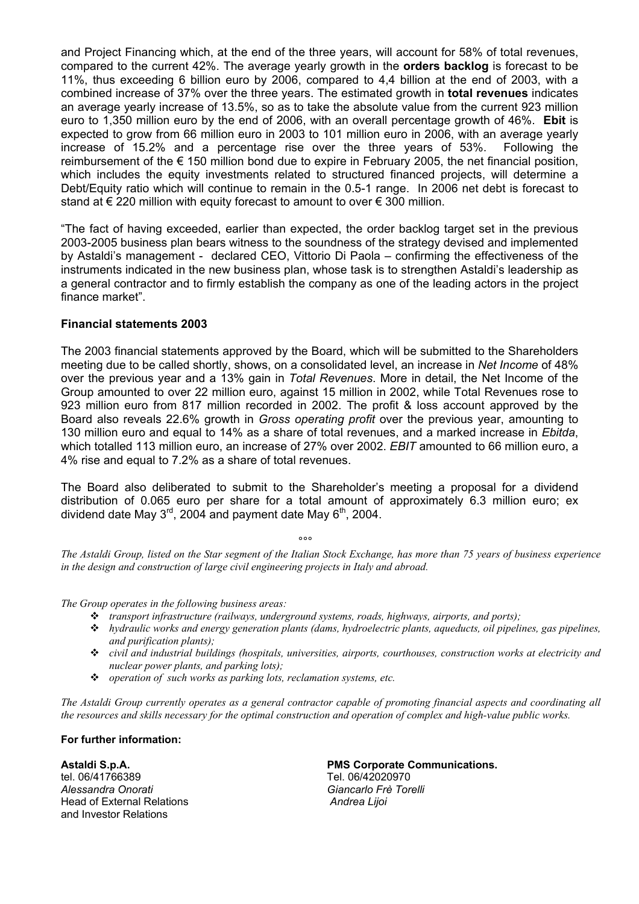and Project Financing which, at the end of the three years, will account for 58% of total revenues, compared to the current 42%. The average yearly growth in the **orders backlog** is forecast to be 11%, thus exceeding 6 billion euro by 2006, compared to 4,4 billion at the end of 2003, with a combined increase of 37% over the three years. The estimated growth in **total revenues** indicates an average yearly increase of 13.5%, so as to take the absolute value from the current 923 million euro to 1,350 million euro by the end of 2006, with an overall percentage growth of 46%. **Ebit** is expected to grow from 66 million euro in 2003 to 101 million euro in 2006, with an average yearly increase of 15.2% and a percentage rise over the three years of 53%. Following the reimbursement of the  $\epsilon$  150 million bond due to expire in February 2005, the net financial position, which includes the equity investments related to structured financed projects, will determine a Debt/Equity ratio which will continue to remain in the 0.5-1 range. In 2006 net debt is forecast to stand at  $\epsilon$  220 million with equity forecast to amount to over  $\epsilon$  300 million.

"The fact of having exceeded, earlier than expected, the order backlog target set in the previous 2003-2005 business plan bears witness to the soundness of the strategy devised and implemented by Astaldi's management - declared CEO, Vittorio Di Paola – confirming the effectiveness of the instruments indicated in the new business plan, whose task is to strengthen Astaldi's leadership as a general contractor and to firmly establish the company as one of the leading actors in the project finance market".

#### **Financial statements 2003**

The 2003 financial statements approved by the Board, which will be submitted to the Shareholders meeting due to be called shortly, shows, on a consolidated level, an increase in *Net Income* of 48% over the previous year and a 13% gain in *Total Revenues*. More in detail, the Net Income of the Group amounted to over 22 million euro, against 15 million in 2002, while Total Revenues rose to 923 million euro from 817 million recorded in 2002. The profit & loss account approved by the Board also reveals 22.6% growth in *Gross operating profit* over the previous year, amounting to 130 million euro and equal to 14% as a share of total revenues, and a marked increase in *Ebitda*, which totalled 113 million euro, an increase of 27% over 2002. *EBIT* amounted to 66 million euro, a 4% rise and equal to 7.2% as a share of total revenues.

The Board also deliberated to submit to the Shareholder's meeting a proposal for a dividend distribution of 0.065 euro per share for a total amount of approximately 6.3 million euro; ex dividend date May  $3<sup>rd</sup>$ , 2004 and payment date May  $6<sup>th</sup>$ , 2004.

### ли в община в община в община в община в община в община в община в община в община в община в община в община<br>В община в община в община в община в община в община в община в община в община в община в община в община в<br>

*The Astaldi Group, listed on the Star segment of the Italian Stock Exchange, has more than 75 years of business experience in the design and construction of large civil engineering projects in Italy and abroad.* 

*The Group operates in the following business areas:* 

- *transport infrastructure (railways, underground systems, roads, highways, airports, and ports);*
- *hydraulic works and energy generation plants (dams, hydroelectric plants, aqueducts, oil pipelines, gas pipelines, and purification plants);*
- *civil and industrial buildings (hospitals, universities, airports, courthouses, construction works at electricity and nuclear power plants, and parking lots);*
- *operation of such works as parking lots, reclamation systems, etc.*

*The Astaldi Group currently operates as a general contractor capable of promoting financial aspects and coordinating all the resources and skills necessary for the optimal construction and operation of complex and high-value public works.* 

#### **For further information:**

tel. 06/41766389 Tel. 06/42020970 *Alessandra Onorati Giancarlo Frè Torelli* Head of External Relations *Andrea Lijoi*  and Investor Relations

### **Astaldi S.p.A. PMS Corporate Communications.**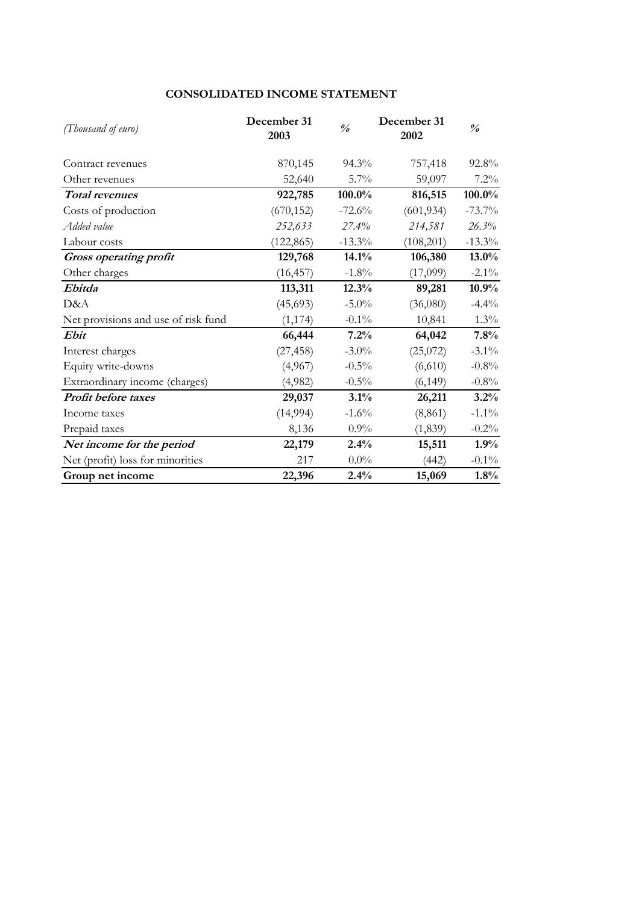### **CONSOLIDATED INCOME STATEMENT**

| (Thousand of euro)                  | December 31<br>2003 | $\frac{\theta}{\theta}$ | December 31<br>2002 | $\frac{\theta}{\theta}$ |
|-------------------------------------|---------------------|-------------------------|---------------------|-------------------------|
| Contract revenues                   | 870,145             | 94.3%                   | 757,418             | 92.8%                   |
| Other revenues                      | 52,640              | 5.7%                    | 59,097              | $7.2\%$                 |
| <b>Total revenues</b>               | 922,785             | 100.0%                  | 816,515             | 100.0%                  |
| Costs of production                 | (670, 152)          | $-72.6%$                | (601, 934)          | $-73.7%$                |
| Added value                         | 252,633             | 27.4%                   | 214,581             | 26.3%                   |
| Labour costs                        | (122, 865)          | $-13.3\%$               | (108,201)           | $-13.3\%$               |
| Gross operating profit              | 129,768             | 14.1%                   | 106,380             | $13.0\%$                |
| Other charges                       | (16, 457)           | $-1.8%$                 | (17,099)            | $-2.1\%$                |
| Ebitda                              | 113,311             | 12.3%                   | 89,281              | 10.9%                   |
| D&A                                 | (45, 693)           | $-5.0\%$                | (36,080)            | $-4.4%$                 |
| Net provisions and use of risk fund | (1, 174)            | $-0.1\%$                | 10,841              | $1.3\%$                 |
| Ebit                                | 66,444              | 7.2%                    | 64,042              | 7.8%                    |
| Interest charges                    | (27, 458)           | $-3.0\%$                | (25,072)            | $-3.1\%$                |
| Equity write-downs                  | (4,967)             | $-0.5%$                 | (6,610)             | $-0.8%$                 |
| Extraordinary income (charges)      | (4,982)             | $-0.5\%$                | (6, 149)            | $-0.8\%$                |
| Profit before taxes                 | 29,037              | 3.1%                    | 26,211              | 3.2%                    |
| Income taxes                        | (14, 994)           | $-1.6%$                 | (8, 861)            | $-1.1\%$                |
| Prepaid taxes                       | 8,136               | $0.9\%$                 | (1, 839)            | $-0.2\%$                |
| Net income for the period           | 22,179              | 2.4%                    | 15,511              | 1.9%                    |
| Net (profit) loss for minorities    | 217                 | $0.0\%$                 | (442)               | $-0.1\%$                |
| Group net income                    | 22,396              | 2.4%                    | 15,069              | 1.8%                    |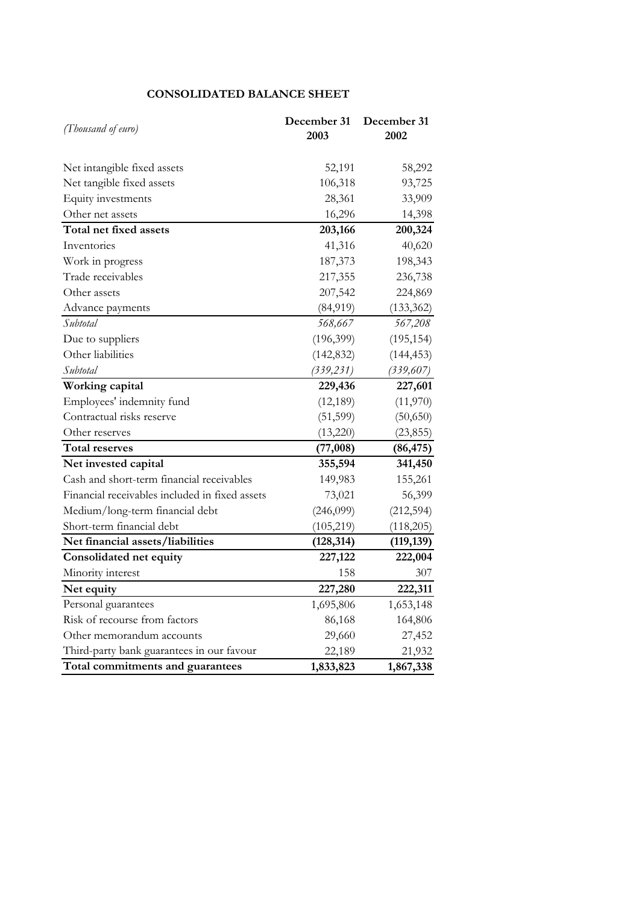### **CONSOLIDATED BALANCE SHEET**

| (Thousand of euro)                             | December 31<br>2003 | December 31<br>2002 |
|------------------------------------------------|---------------------|---------------------|
| Net intangible fixed assets                    | 52,191              | 58,292              |
| Net tangible fixed assets                      | 106,318             | 93,725              |
| Equity investments                             | 28,361              | 33,909              |
| Other net assets                               | 16,296              | 14,398              |
| Total net fixed assets                         | 203,166             | 200,324             |
| Inventories                                    | 41,316              | 40,620              |
| Work in progress                               | 187,373             | 198,343             |
| Trade receivables                              | 217,355             | 236,738             |
| Other assets                                   | 207,542             | 224,869             |
| Advance payments                               | (84, 919)           | (133, 362)          |
| Subtotal                                       | 568,667             | 567,208             |
| Due to suppliers                               | (196,399)           | (195, 154)          |
| Other liabilities                              | (142, 832)          | (144, 453)          |
| Subtotal                                       | (339, 231)          | (339, 607)          |
| Working capital                                | 229,436             | 227,601             |
| Employees' indemnity fund                      | (12, 189)           | (11,970)            |
| Contractual risks reserve                      | (51, 599)           | (50, 650)           |
| Other reserves                                 | (13,220)            | (23, 855)           |
| <b>Total reserves</b>                          | (77,008)            | (86, 475)           |
| Net invested capital                           | 355,594             | 341,450             |
| Cash and short-term financial receivables      | 149,983             | 155,261             |
| Financial receivables included in fixed assets | 73,021              | 56,399              |
| Medium/long-term financial debt                | (246,099)           | (212, 594)          |
| Short-term financial debt                      | (105, 219)          | (118,205)           |
| Net financial assets/liabilities               | (128, 314)          | (119, 139)          |
| Consolidated net equity                        | 227,122             | 222,004             |
| Minority interest                              | 158                 | 307                 |
| Net equity                                     | 227,280             | 222,311             |
| Personal guarantees                            | 1,695,806           | 1,653,148           |
| Risk of recourse from factors                  | 86,168              | 164,806             |
| Other memorandum accounts                      | 29,660              | 27,452              |
| Third-party bank guarantees in our favour      | 22,189              | 21,932              |
| Total commitments and guarantees               | 1,833,823           | 1,867,338           |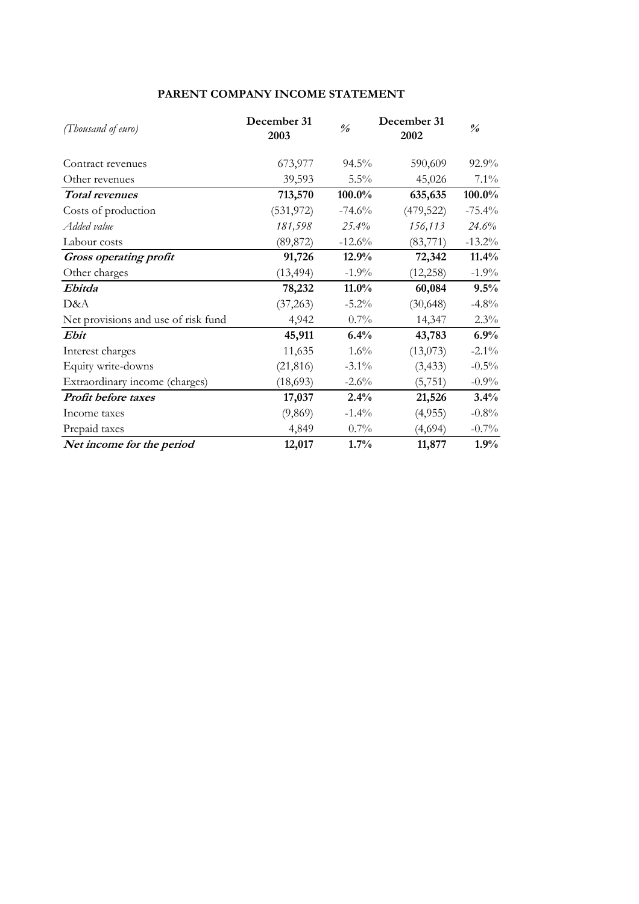## **PARENT COMPANY INCOME STATEMENT**

| (Thousand of euro)                  | December 31<br>2003 | $\frac{\theta}{\theta}$ | December 31<br>2002 | $\frac{\partial}{\partial \theta}$ |
|-------------------------------------|---------------------|-------------------------|---------------------|------------------------------------|
| Contract revenues                   | 673,977             | $94.5\%$                | 590,609             | 92.9%                              |
| Other revenues                      | 39,593              | $5.5\%$                 | 45,026              | $7.1\%$                            |
| <b>Total revenues</b>               | 713,570             | 100.0%                  | 635,635             | 100.0%                             |
| Costs of production                 | (531, 972)          | $-74.6%$                | (479, 522)          | $-75.4%$                           |
| Added value                         | 181,598             | $25.4\%$                | 156,113             | 24.6%                              |
| Labour costs                        | (89, 872)           | $-12.6%$                | (83,771)            | $-13.2\%$                          |
| <b>Gross operating profit</b>       | 91,726              | 12.9%                   | 72,342              | 11.4%                              |
| Other charges                       | (13, 494)           | $-1.9%$                 | (12, 258)           | $-1.9\%$                           |
| Ebitda                              | 78,232              | $11.0\%$                | 60,084              | 9.5%                               |
| D&A                                 | (37, 263)           | $-5.2\%$                | (30, 648)           | $-4.8\%$                           |
| Net provisions and use of risk fund | 4,942               | 0.7%                    | 14,347              | $2.3\%$                            |
| Ebit                                | 45,911              | 6.4%                    | 43,783              | 6.9%                               |
| Interest charges                    | 11,635              | 1.6%                    | (13,073)            | $-2.1\%$                           |
| Equity write-downs                  | (21, 816)           | $-3.1\%$                | (3, 433)            | $-0.5\%$                           |
| Extraordinary income (charges)      | (18,693)            | $-2.6\%$                | (5, 751)            | $-0.9\%$                           |
| Profit before taxes                 | 17,037              | 2.4%                    | 21,526              | 3.4%                               |
| Income taxes                        | (9,869)             | $-1.4%$                 | (4,955)             | $-0.8%$                            |
| Prepaid taxes                       | 4,849               | $0.7\%$                 | (4,694)             | $-0.7\%$                           |
| Net income for the period           | 12,017              | 1.7%                    | 11,877              | 1.9%                               |